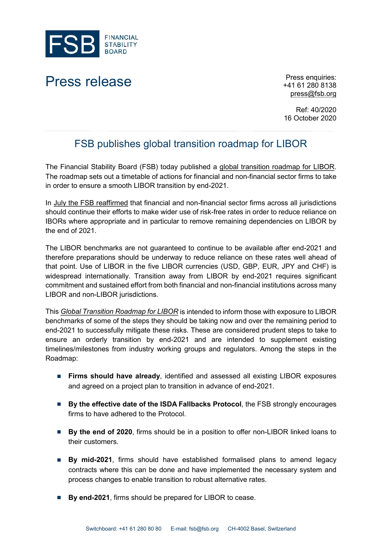

## Press release Press enquiries:

+41 61 280 8138 [press@fsb.org](mailto:press@fsb.org)

Ref: 40/2020 16 October 2020

## FSB publishes global transition roadmap for LIBOR

The Financial Stability Board (FSB) today published a [global transition roadmap for LIBOR.](https://www.fsb.org/2020/10/global-transition-roadmap-for-libor/) The roadmap sets out a timetable of actions for financial and non-financial sector firms to take in order to ensure a smooth LIBOR transition by end-2021.

In [July the FSB reaffirmed](https://www.fsb.org/2020/07/fsb-statement-on-the-impact-of-covid-19-on-global-benchmark-reform/) that financial and non-financial sector firms across all jurisdictions should continue their efforts to make wider use of risk-free rates in order to reduce reliance on IBORs where appropriate and in particular to remove remaining dependencies on LIBOR by the end of 2021.

The LIBOR benchmarks are not guaranteed to continue to be available after end-2021 and therefore preparations should be underway to reduce reliance on these rates well ahead of that point. Use of LIBOR in the five LIBOR currencies (USD, GBP, EUR, JPY and CHF) is widespread internationally. Transition away from LIBOR by end-2021 requires significant commitment and sustained effort from both financial and non-financial institutions across many LIBOR and non-LIBOR jurisdictions.

This *[Global Transition Roadmap for LIBOR](https://www.fsb.org/2020/10/global-transition-roadmap-for-libor/)* is intended to inform those with exposure to LIBOR benchmarks of some of the steps they should be taking now and over the remaining period to end-2021 to successfully mitigate these risks. These are considered prudent steps to take to ensure an orderly transition by end-2021 and are intended to supplement existing timelines/milestones from industry working groups and regulators. Among the steps in the Roadmap:

- **Firms should have already**, identified and assessed all existing LIBOR exposures and agreed on a project plan to transition in advance of end-2021.
- **By the effective date of the ISDA Fallbacks Protocol**, the FSB strongly encourages firms to have [adhered to the Protocol.](https://www.fsb.org/2020/10/fsb-encourages-broad-and-timely-adherence-to-the-isda-ibor-fallbacks-protocol/)
- **By the end of 2020**, firms should be in a position to offer non-LIBOR linked loans to their customers.
- **By mid-2021**, firms should have established formalised plans to amend legacy contracts where this can be done and have implemented the necessary system and process changes to enable transition to robust alternative rates.
- **By end-2021**, firms should be prepared for LIBOR to cease.